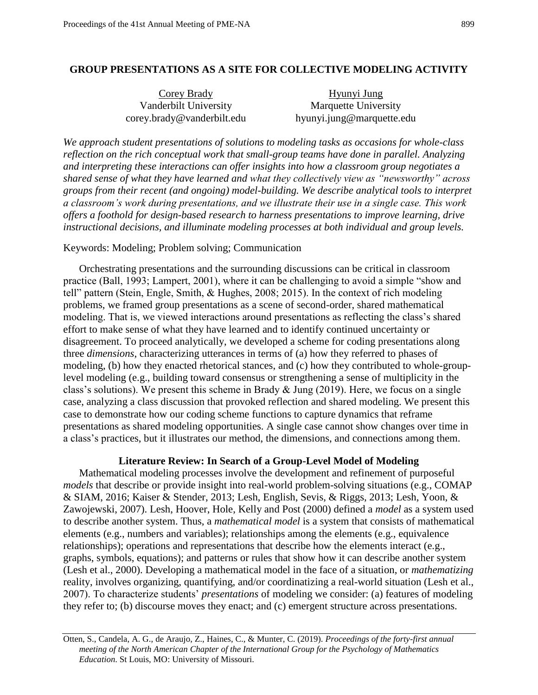## **GROUP PRESENTATIONS AS A SITE FOR COLLECTIVE MODELING ACTIVITY**

| Corey Brady                | Hyunyi Jung               |
|----------------------------|---------------------------|
| Vanderbilt University      | Marquette University      |
| corey.brady@vanderbilt.edu | hyunyi.jung@marquette.edu |

*We approach student presentations of solutions to modeling tasks as occasions for whole-class reflection on the rich conceptual work that small-group teams have done in parallel. Analyzing and interpreting these interactions can offer insights into how a classroom group negotiates a shared sense of what they have learned and what they collectively view as "newsworthy" across groups from their recent (and ongoing) model-building. We describe analytical tools to interpret a classroom's work during presentations, and we illustrate their use in a single case. This work offers a foothold for design-based research to harness presentations to improve learning, drive instructional decisions, and illuminate modeling processes at both individual and group levels.* 

### Keywords: Modeling; Problem solving; Communication

Orchestrating presentations and the surrounding discussions can be critical in classroom practice (Ball, 1993; Lampert, 2001), where it can be challenging to avoid a simple "show and tell" pattern (Stein, Engle, Smith, & Hughes, 2008; 2015). In the context of rich modeling problems, we framed group presentations as a scene of second-order, shared mathematical modeling. That is, we viewed interactions around presentations as reflecting the class's shared effort to make sense of what they have learned and to identify continued uncertainty or disagreement. To proceed analytically, we developed a scheme for coding presentations along three *dimensions*, characterizing utterances in terms of (a) how they referred to phases of modeling, (b) how they enacted rhetorical stances, and (c) how they contributed to whole-grouplevel modeling (e.g., building toward consensus or strengthening a sense of multiplicity in the class's solutions). We present this scheme in Brady & Jung (2019). Here, we focus on a single case, analyzing a class discussion that provoked reflection and shared modeling. We present this case to demonstrate how our coding scheme functions to capture dynamics that reframe presentations as shared modeling opportunities. A single case cannot show changes over time in a class's practices, but it illustrates our method, the dimensions, and connections among them.

# **Literature Review: In Search of a Group-Level Model of Modeling**

Mathematical modeling processes involve the development and refinement of purposeful *models* that describe or provide insight into real-world problem-solving situations (e.g., COMAP & SIAM, 2016; Kaiser & Stender, 2013; Lesh, English, Sevis, & Riggs, 2013; Lesh, Yoon, & Zawojewski, 2007). Lesh, Hoover, Hole, Kelly and Post (2000) defined a *model* as a system used to describe another system. Thus, a *mathematical model* is a system that consists of mathematical elements (e.g., numbers and variables); relationships among the elements (e.g., equivalence relationships); operations and representations that describe how the elements interact (e.g., graphs, symbols, equations); and patterns or rules that show how it can describe another system (Lesh et al., 2000). Developing a mathematical model in the face of a situation, or *mathematizing*  reality, involves organizing, quantifying, and/or coordinatizing a real-world situation (Lesh et al., 2007). To characterize students' *presentations* of modeling we consider: (a) features of modeling they refer to; (b) discourse moves they enact; and (c) emergent structure across presentations.

 Otten, S., Candela, A. G., de Araujo, Z., Haines, C., & Munter, C. (2019). *Proceedings of the forty-first annual meeting of the North American Chapter of the International Group for the Psychology of Mathematics Education*. St Louis, MO: University of Missouri.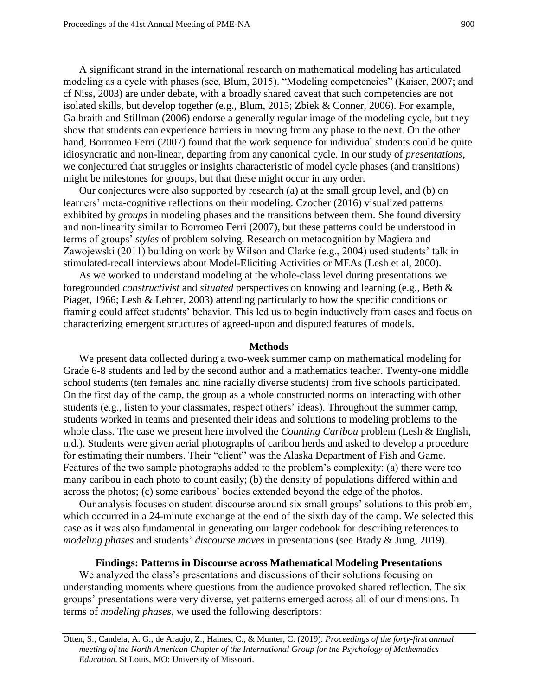Galbraith and Stillman (2006) endorse a generally regular image of the modeling cycle, but they A significant strand in the international research on mathematical modeling has articulated modeling as a cycle with phases (see, Blum, 2015). "Modeling competencies" (Kaiser, 2007; and cf Niss, 2003) are under debate, with a broadly shared caveat that such competencies are not isolated skills, but develop together (e.g., Blum, 2015; Zbiek & Conner, 2006). For example, show that students can experience barriers in moving from any phase to the next. On the other hand, Borromeo Ferri (2007) found that the work sequence for individual students could be quite idiosyncratic and non-linear, departing from any canonical cycle. In our study of *presentations*, we conjectured that struggles or insights characteristic of model cycle phases (and transitions) might be milestones for groups, but that these might occur in any order.

 terms of groups' *styles* of problem solving. Research on metacognition by Magiera and Our conjectures were also supported by research (a) at the small group level, and (b) on learners' meta-cognitive reflections on their modeling. Czocher (2016) visualized patterns exhibited by *groups* in modeling phases and the transitions between them. She found diversity and non-linearity similar to Borromeo Ferri (2007), but these patterns could be understood in Zawojewski (2011) building on work by Wilson and Clarke (e.g., 2004) used students' talk in stimulated-recall interviews about Model-Eliciting Activities or MEAs (Lesh et al, 2000).

 Piaget, 1966; Lesh & Lehrer, 2003) attending particularly to how the specific conditions or As we worked to understand modeling at the whole-class level during presentations we foregrounded *constructivist* and *situated* perspectives on knowing and learning (e.g., Beth & framing could affect students' behavior. This led us to begin inductively from cases and focus on characterizing emergent structures of agreed-upon and disputed features of models.

#### **Methods**

 whole class. The case we present here involved the *Counting Caribou* problem (Lesh & English, We present data collected during a two-week summer camp on mathematical modeling for Grade 6-8 students and led by the second author and a mathematics teacher. Twenty-one middle school students (ten females and nine racially diverse students) from five schools participated. On the first day of the camp, the group as a whole constructed norms on interacting with other students (e.g., listen to your classmates, respect others' ideas). Throughout the summer camp, students worked in teams and presented their ideas and solutions to modeling problems to the n.d.). Students were given aerial photographs of caribou herds and asked to develop a procedure for estimating their numbers. Their "client" was the Alaska Department of Fish and Game. Features of the two sample photographs added to the problem's complexity: (a) there were too many caribou in each photo to count easily; (b) the density of populations differed within and across the photos; (c) some caribous' bodies extended beyond the edge of the photos.

Our analysis focuses on student discourse around six small groups' solutions to this problem, which occurred in a 24-minute exchange at the end of the sixth day of the camp. We selected this case as it was also fundamental in generating our larger codebook for describing references to *modeling phases* and students' *discourse moves* in presentations (see Brady & Jung, 2019).

#### **Findings: Patterns in Discourse across Mathematical Modeling Presentations**

We analyzed the class's presentations and discussions of their solutions focusing on understanding moments where questions from the audience provoked shared reflection. The six groups' presentations were very diverse, yet patterns emerged across all of our dimensions. In terms of *modeling phases*, we used the following descriptors:

 Otten, S., Candela, A. G., de Araujo, Z., Haines, C., & Munter, C. (2019). *Proceedings of the forty-first annual meeting of the North American Chapter of the International Group for the Psychology of Mathematics Education*. St Louis, MO: University of Missouri.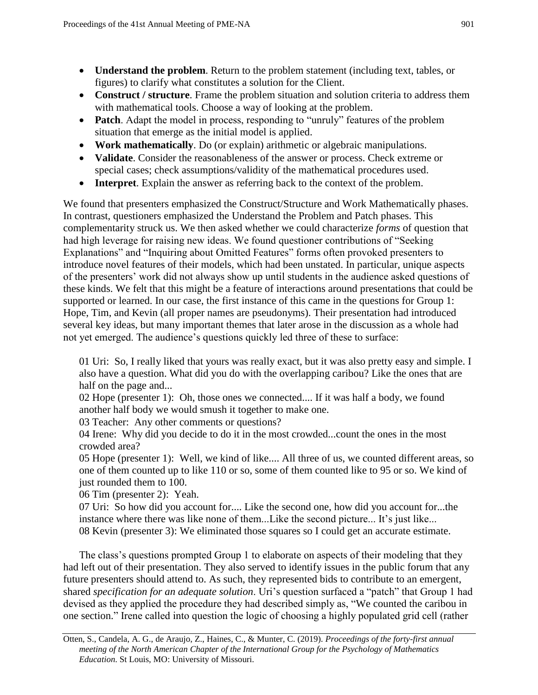- **Understand the problem**. Return to the problem statement (including text, tables, or figures) to clarify what constitutes a solution for the Client.
- **Construct / structure**. Frame the problem situation and solution criteria to address them with mathematical tools. Choose a way of looking at the problem.
- **Patch**. Adapt the model in process, responding to "unruly" features of the problem situation that emerge as the initial model is applied.
- **Work mathematically**. Do (or explain) arithmetic or algebraic manipulations.
- **Validate**. Consider the reasonableness of the answer or process. Check extreme or special cases; check assumptions/validity of the mathematical procedures used.
- **Interpret**. Explain the answer as referring back to the context of the problem.

We found that presenters emphasized the Construct/Structure and Work Mathematically phases. In contrast, questioners emphasized the Understand the Problem and Patch phases. This complementarity struck us. We then asked whether we could characterize *forms* of question that had high leverage for raising new ideas. We found questioner contributions of "Seeking Explanations" and "Inquiring about Omitted Features" forms often provoked presenters to introduce novel features of their models, which had been unstated. In particular, unique aspects of the presenters' work did not always show up until students in the audience asked questions of these kinds. We felt that this might be a feature of interactions around presentations that could be supported or learned. In our case, the first instance of this came in the questions for Group 1: Hope, Tim, and Kevin (all proper names are pseudonyms). Their presentation had introduced several key ideas, but many important themes that later arose in the discussion as a whole had not yet emerged. The audience's questions quickly led three of these to surface:

01 Uri: So, I really liked that yours was really exact, but it was also pretty easy and simple. I also have a question. What did you do with the overlapping caribou? Like the ones that are half on the page and...

02 Hope (presenter 1): Oh, those ones we connected.... If it was half a body, we found another half body we would smush it together to make one.

03 Teacher: Any other comments or questions?

04 Irene: Why did you decide to do it in the most crowded...count the ones in the most crowded area?

05 Hope (presenter 1): Well, we kind of like.... All three of us, we counted different areas, so one of them counted up to like 110 or so, some of them counted like to 95 or so. We kind of just rounded them to 100.

06 Tim (presenter 2): Yeah.

07 Uri: So how did you account for.... Like the second one, how did you account for...the instance where there was like none of them...Like the second picture... It's just like... 08 Kevin (presenter 3): We eliminated those squares so I could get an accurate estimate.

 one section." Irene called into question the logic of choosing a highly populated grid cell (rather The class's questions prompted Group 1 to elaborate on aspects of their modeling that they had left out of their presentation. They also served to identify issues in the public forum that any future presenters should attend to. As such, they represented bids to contribute to an emergent, shared *specification for an adequate solution*. Uri's question surfaced a "patch" that Group 1 had devised as they applied the procedure they had described simply as, "We counted the caribou in

 Otten, S., Candela, A. G., de Araujo, Z., Haines, C., & Munter, C. (2019). *Proceedings of the forty-first annual meeting of the North American Chapter of the International Group for the Psychology of Mathematics Education*. St Louis, MO: University of Missouri.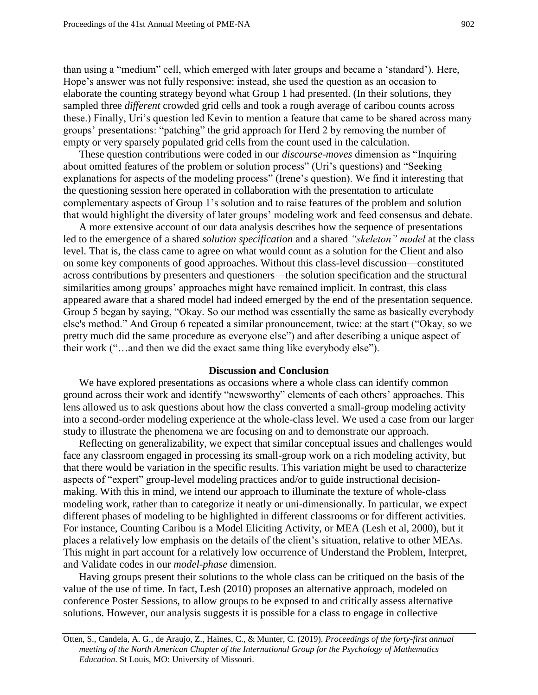than using a "medium" cell, which emerged with later groups and became a 'standard'). Here, Hope's answer was not fully responsive: instead, she used the question as an occasion to elaborate the counting strategy beyond what Group 1 had presented. (In their solutions, they sampled three *different* crowded grid cells and took a rough average of caribou counts across these.) Finally, Uri's question led Kevin to mention a feature that came to be shared across many groups' presentations: "patching" the grid approach for Herd 2 by removing the number of empty or very sparsely populated grid cells from the count used in the calculation.

These question contributions were coded in our *discourse-moves* dimension as "Inquiring about omitted features of the problem or solution process" (Uri's questions) and "Seeking explanations for aspects of the modeling process" (Irene's question). We find it interesting that the questioning session here operated in collaboration with the presentation to articulate complementary aspects of Group 1's solution and to raise features of the problem and solution that would highlight the diversity of later groups' modeling work and feed consensus and debate.

A more extensive account of our data analysis describes how the sequence of presentations led to the emergence of a shared *solution specification* and a shared *"skeleton" model* at the class level. That is, the class came to agree on what would count as a solution for the Client and also on some key components of good approaches. Without this class-level discussion—constituted across contributions by presenters and questioners—the solution specification and the structural similarities among groups' approaches might have remained implicit. In contrast, this class appeared aware that a shared model had indeed emerged by the end of the presentation sequence. Group 5 began by saying, "Okay. So our method was essentially the same as basically everybody else's method." And Group 6 repeated a similar pronouncement, twice: at the start ("Okay, so we pretty much did the same procedure as everyone else") and after describing a unique aspect of their work ("…and then we did the exact same thing like everybody else").

### **Discussion and Conclusion**

 study to illustrate the phenomena we are focusing on and to demonstrate our approach. We have explored presentations as occasions where a whole class can identify common ground across their work and identify "newsworthy" elements of each others' approaches. This lens allowed us to ask questions about how the class converted a small-group modeling activity into a second-order modeling experience at the whole-class level. We used a case from our larger

Reflecting on generalizability, we expect that similar conceptual issues and challenges would face any classroom engaged in processing its small-group work on a rich modeling activity, but that there would be variation in the specific results. This variation might be used to characterize aspects of "expert" group-level modeling practices and/or to guide instructional decisionmaking. With this in mind, we intend our approach to illuminate the texture of whole-class modeling work, rather than to categorize it neatly or uni-dimensionally. In particular, we expect different phases of modeling to be highlighted in different classrooms or for different activities. For instance, Counting Caribou is a Model Eliciting Activity, or MEA (Lesh et al, 2000), but it places a relatively low emphasis on the details of the client's situation, relative to other MEAs. This might in part account for a relatively low occurrence of Understand the Problem, Interpret, and Validate codes in our *model-phase* dimension.

Having groups present their solutions to the whole class can be critiqued on the basis of the value of the use of time. In fact, Lesh (2010) proposes an alternative approach, modeled on conference Poster Sessions, to allow groups to be exposed to and critically assess alternative solutions. However, our analysis suggests it is possible for a class to engage in collective

 Otten, S., Candela, A. G., de Araujo, Z., Haines, C., & Munter, C. (2019). *Proceedings of the forty-first annual meeting of the North American Chapter of the International Group for the Psychology of Mathematics Education*. St Louis, MO: University of Missouri.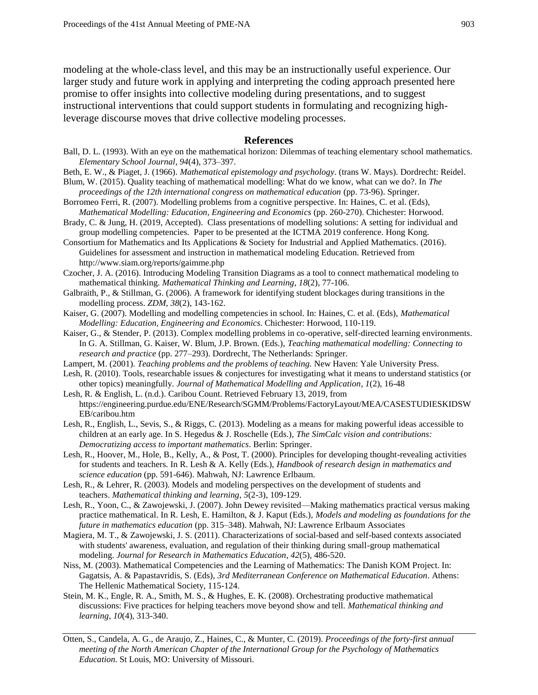modeling at the whole-class level, and this may be an instructionally useful experience. Our larger study and future work in applying and interpreting the coding approach presented here promise to offer insights into collective modeling during presentations, and to suggest instructional interventions that could support students in formulating and recognizing highleverage discourse moves that drive collective modeling processes.

#### **References**

- Ball, D. L. (1993). With an eye on the mathematical horizon: Dilemmas of teaching elementary school mathematics. *Elementary School Journal*, *94*(4), 373–397.
- Beth, E. W., & Piaget, J. (1966). *Mathematical epistemology and psychology*. (trans W. Mays). Dordrecht: Reidel.
- Blum, W. (2015). Quality teaching of mathematical modelling: What do we know, what can we do?. In *The*  proceedings of the 12th international congress on mathematical education (pp. 73-96). Springer.
- Borromeo Ferri, R. (2007). Modelling problems from a cognitive perspective. In: Haines, C. et al. (Eds),  *Mathematical Modelling: Education, Engineering and Economics* (pp. 260-270). Chichester: Horwood.
- Brady, C. & Jung, H. (2019, Accepted). Class presentations of modelling solutions: A setting for individual and group modelling competencies. Paper to be presented at the ICTMA 2019 conference. Hong Kong.
- Consortium for Mathematics and Its Applications & Society for Industrial and Applied Mathematics. (2016). Guidelines for assessment and instruction in mathematical modeling Education. Retrieved from <http://www.siam.org/reports/gaimme.php>
- Czocher, J. A. (2016). Introducing Modeling Transition Diagrams as a tool to connect mathematical modeling to  mathematical thinking. *Mathematical Thinking and Learning*, *18*(2), 77-106.
- Galbraith, P., & Stillman, G. (2006). A framework for identifying student blockages during transitions in the modelling process. *ZDM*, *38*(2), 143-162.
- Kaiser, G. (2007). Modelling and modelling competencies in school. In: Haines, C. et al. (Eds), *Mathematical Modelling: Education, Engineering and Economics*. Chichester: Horwood, 110-119.
- Kaiser, G., & Stender, P. (2013). Complex modelling problems in co-operative, self-directed learning environments. In G. A. Stillman, G. Kaiser, W. Blum, J.P. Brown. (Eds.), *Teaching mathematical modelling: Connecting to research and practice* (pp. 277–293). Dordrecht, The Netherlands: Springer.
- Lampert, M. (2001). *Teaching problems and the problems of teaching*. New Haven: Yale University Press.
- Lesh, R. (2010). Tools, researchable issues & conjectures for investigating what it means to understand statistics (or  other topics) meaningfully. *Journal of Mathematical Modelling and Application*, *1*(2), 16-48
- Lesh, R. & English, L. (n.d.). Caribou Count. Retrieved February 13, 2019, from [https://engineering.purdue.edu/ENE/Research/SGMM/Problems/FactoryLayout/MEA/CASESTUDIESKIDSW](https://engineering.purdue.edu/ENE/Research/SGMM/Problems/FactoryLayout/MEA/CASESTUDIESKIDSWEB/caribou.htm)  [EB/caribou.htm](https://engineering.purdue.edu/ENE/Research/SGMM/Problems/FactoryLayout/MEA/CASESTUDIESKIDSWEB/caribou.htm)
- Lesh, R., English, L., Sevis, S., & Riggs, C. (2013). Modeling as a means for making powerful ideas accessible to children at an early age. In S. Hegedus & J. Roschelle (Eds.), *The SimCalc vision and contributions: Democratizing access to important mathematics*. Berlin: Springer.
- Lesh, R., Hoover, M., Hole, B., Kelly, A., & Post, T. (2000). Principles for developing thought-revealing activities for students and teachers. In R. Lesh & A. Kelly (Eds.), *Handbook of research design in mathematics and science education* (pp. 591-646). Mahwah, NJ: Lawrence Erlbaum.
- Lesh, R., & Lehrer, R. (2003). Models and modeling perspectives on the development of students and  teachers. *Mathematical thinking and learning*, *5*(2-3), 109-129.
- Lesh, R., Yoon, C., & Zawojewski, J. (2007). John Dewey revisited—Making mathematics practical versus making practice mathematical. In R. Lesh, E. Hamilton, & J. Kaput (Eds.), *Models and modeling as foundations for the future in mathematics education* (pp. 315–348). Mahwah, NJ: Lawrence Erlbaum Associates
- Magiera, M. T., & Zawojewski, J. S. (2011). Characterizations of social-based and self-based contexts associated with students' awareness, evaluation, and regulation of their thinking during small-group mathematical  modeling. *Journal for Research in Mathematics Education*, *42*(5), 486-520.
- Niss, M. (2003). Mathematical Competencies and the Learning of Mathematics: The Danish KOM Project. In: Gagatsis, A. & Papastavridis, S. (Eds), *3rd Mediterranean Conference on Mathematical Education*. Athens: The Hellenic Mathematical Society, 115-124.
- Stein, M. K., Engle, R. A., Smith, M. S., & Hughes, E. K. (2008). Orchestrating productive mathematical discussions: Five practices for helping teachers move beyond show and tell. *Mathematical thinking and learning*, *10*(4), 313-340.
- Otten, S., Candela, A. G., de Araujo, Z., Haines, C., & Munter, C. (2019). *Proceedings of the forty-first annual meeting of the North American Chapter of the International Group for the Psychology of Mathematics Education*. St Louis, MO: University of Missouri.